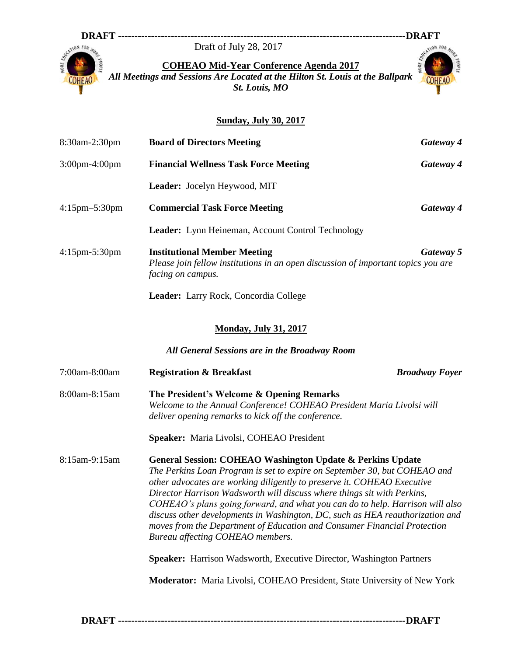## Draft of July 28, 2017



**DRAFT ---------------------------------------------------------------------------------------DRAFT COHEAO Mid-Year Conference Agenda 2017**

*All Meetings and Sessions Are Located at the Hilton St. Louis at the Ballpark St. Louis, MO*



## **Sunday, July 30, 2017**

| 8:30am-2:30pm        | <b>Board of Directors Meeting</b>                                                                                                                                                                                                                                                                                                                                                                                                                                                                                                                      | Gateway 4             |  |
|----------------------|--------------------------------------------------------------------------------------------------------------------------------------------------------------------------------------------------------------------------------------------------------------------------------------------------------------------------------------------------------------------------------------------------------------------------------------------------------------------------------------------------------------------------------------------------------|-----------------------|--|
| 3:00pm-4:00pm        | <b>Financial Wellness Task Force Meeting</b>                                                                                                                                                                                                                                                                                                                                                                                                                                                                                                           | Gateway 4             |  |
|                      | Leader: Jocelyn Heywood, MIT                                                                                                                                                                                                                                                                                                                                                                                                                                                                                                                           |                       |  |
| 4:15pm-5:30pm        | <b>Commercial Task Force Meeting</b>                                                                                                                                                                                                                                                                                                                                                                                                                                                                                                                   | Gateway 4             |  |
|                      | Leader: Lynn Heineman, Account Control Technology                                                                                                                                                                                                                                                                                                                                                                                                                                                                                                      |                       |  |
| $4:15$ pm $-5:30$ pm | <b>Institutional Member Meeting</b><br>Please join fellow institutions in an open discussion of important topics you are<br>facing on campus.                                                                                                                                                                                                                                                                                                                                                                                                          | Gateway 5             |  |
|                      | Leader: Larry Rock, Concordia College                                                                                                                                                                                                                                                                                                                                                                                                                                                                                                                  |                       |  |
|                      | <b>Monday, July 31, 2017</b>                                                                                                                                                                                                                                                                                                                                                                                                                                                                                                                           |                       |  |
|                      | All General Sessions are in the Broadway Room                                                                                                                                                                                                                                                                                                                                                                                                                                                                                                          |                       |  |
| 7:00am-8:00am        | <b>Registration &amp; Breakfast</b>                                                                                                                                                                                                                                                                                                                                                                                                                                                                                                                    | <b>Broadway Foyer</b> |  |
| 8:00am-8:15am        | The President's Welcome & Opening Remarks<br>Welcome to the Annual Conference! COHEAO President Maria Livolsi will<br>deliver opening remarks to kick off the conference.                                                                                                                                                                                                                                                                                                                                                                              |                       |  |
|                      | Speaker: Maria Livolsi, COHEAO President                                                                                                                                                                                                                                                                                                                                                                                                                                                                                                               |                       |  |
| 8:15am-9:15am        | <b>General Session: COHEAO Washington Update &amp; Perkins Update</b><br>The Perkins Loan Program is set to expire on September 30, but COHEAO and<br>other advocates are working diligently to preserve it. COHEAO Executive<br>Director Harrison Wadsworth will discuss where things sit with Perkins,<br>COHEAO's plans going forward, and what you can do to help. Harrison will also<br>discuss other developments in Washington, DC, such as HEA reauthorization and<br>moves from the Department of Education and Consumer Financial Protection |                       |  |

**Speaker:** Harrison Wadsworth, Executive Director, Washington Partners

**Moderator:** Maria Livolsi, COHEAO President, State University of New York

**DRAFT ---------------------------------------------------------------------------------------DRAFT**

*Bureau affecting COHEAO members.*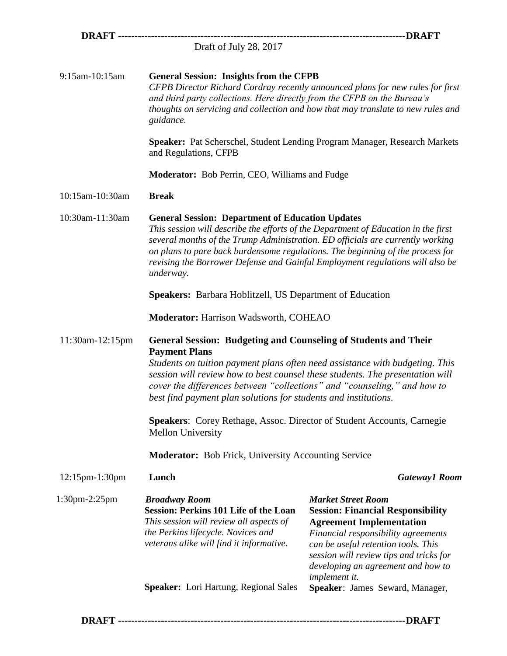|                 | Draft of July 28, 2017                                                                                                                                                                                                                                                                                                                                                                                                                                                                   |                                                                                                                                                                                                                                                                                          |  |
|-----------------|------------------------------------------------------------------------------------------------------------------------------------------------------------------------------------------------------------------------------------------------------------------------------------------------------------------------------------------------------------------------------------------------------------------------------------------------------------------------------------------|------------------------------------------------------------------------------------------------------------------------------------------------------------------------------------------------------------------------------------------------------------------------------------------|--|
| 9:15am-10:15am  | <b>General Session: Insights from the CFPB</b><br>CFPB Director Richard Cordray recently announced plans for new rules for first<br>and third party collections. Here directly from the CFPB on the Bureau's<br>thoughts on servicing and collection and how that may translate to new rules and<br>guidance.                                                                                                                                                                            |                                                                                                                                                                                                                                                                                          |  |
|                 | and Regulations, CFPB                                                                                                                                                                                                                                                                                                                                                                                                                                                                    | Speaker: Pat Scherschel, Student Lending Program Manager, Research Markets                                                                                                                                                                                                               |  |
|                 | Moderator: Bob Perrin, CEO, Williams and Fudge                                                                                                                                                                                                                                                                                                                                                                                                                                           |                                                                                                                                                                                                                                                                                          |  |
| 10:15am-10:30am | <b>Break</b>                                                                                                                                                                                                                                                                                                                                                                                                                                                                             |                                                                                                                                                                                                                                                                                          |  |
| 10:30am-11:30am | <b>General Session: Department of Education Updates</b><br>This session will describe the efforts of the Department of Education in the first<br>several months of the Trump Administration. ED officials are currently working<br>on plans to pare back burdensome regulations. The beginning of the process for<br>revising the Borrower Defense and Gainful Employment regulations will also be<br>underway.                                                                          |                                                                                                                                                                                                                                                                                          |  |
|                 | <b>Speakers:</b> Barbara Hoblitzell, US Department of Education                                                                                                                                                                                                                                                                                                                                                                                                                          |                                                                                                                                                                                                                                                                                          |  |
|                 | <b>Moderator: Harrison Wadsworth, COHEAO</b>                                                                                                                                                                                                                                                                                                                                                                                                                                             |                                                                                                                                                                                                                                                                                          |  |
| 11:30am-12:15pm | <b>General Session: Budgeting and Counseling of Students and Their</b><br><b>Payment Plans</b><br>Students on tuition payment plans often need assistance with budgeting. This<br>session will review how to best counsel these students. The presentation will<br>cover the differences between "collections" and "counseling," and how to<br>best find payment plan solutions for students and institutions.<br>Speakers: Corey Rethage, Assoc. Director of Student Accounts, Carnegie |                                                                                                                                                                                                                                                                                          |  |
|                 | <b>Mellon University</b>                                                                                                                                                                                                                                                                                                                                                                                                                                                                 |                                                                                                                                                                                                                                                                                          |  |
|                 | <b>Moderator:</b> Bob Frick, University Accounting Service                                                                                                                                                                                                                                                                                                                                                                                                                               |                                                                                                                                                                                                                                                                                          |  |
| 12:15pm-1:30pm  | Lunch                                                                                                                                                                                                                                                                                                                                                                                                                                                                                    | <b>Gateway1 Room</b>                                                                                                                                                                                                                                                                     |  |
| 1:30pm-2:25pm   | <b>Broadway Room</b><br><b>Session: Perkins 101 Life of the Loan</b><br>This session will review all aspects of<br>the Perkins lifecycle. Novices and<br>veterans alike will find it informative.                                                                                                                                                                                                                                                                                        | <b>Market Street Room</b><br><b>Session: Financial Responsibility</b><br><b>Agreement Implementation</b><br>Financial responsibility agreements<br>can be useful retention tools. This<br>session will review tips and tricks for<br>developing an agreement and how to<br>implement it. |  |
|                 | <b>Speaker:</b> Lori Hartung, Regional Sales                                                                                                                                                                                                                                                                                                                                                                                                                                             | Speaker: James Seward, Manager,                                                                                                                                                                                                                                                          |  |
|                 |                                                                                                                                                                                                                                                                                                                                                                                                                                                                                          |                                                                                                                                                                                                                                                                                          |  |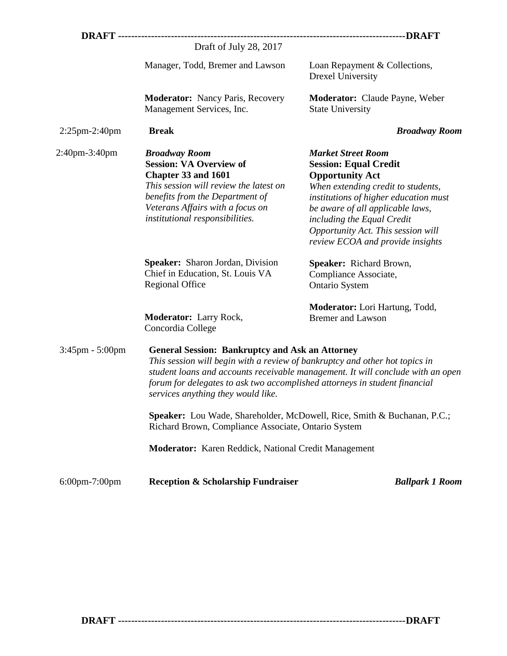|                       | Draft of July 28, 2017                                                                                                                                                                                                                                                                                                                       |                                                                                                                                                                                                                                                                                                                |  |  |
|-----------------------|----------------------------------------------------------------------------------------------------------------------------------------------------------------------------------------------------------------------------------------------------------------------------------------------------------------------------------------------|----------------------------------------------------------------------------------------------------------------------------------------------------------------------------------------------------------------------------------------------------------------------------------------------------------------|--|--|
|                       | Manager, Todd, Bremer and Lawson                                                                                                                                                                                                                                                                                                             | Loan Repayment & Collections,<br>Drexel University                                                                                                                                                                                                                                                             |  |  |
|                       | <b>Moderator:</b> Nancy Paris, Recovery<br>Management Services, Inc.                                                                                                                                                                                                                                                                         | <b>Moderator:</b> Claude Payne, Weber<br><b>State University</b>                                                                                                                                                                                                                                               |  |  |
| $2:25$ pm-2:40pm      | <b>Break</b>                                                                                                                                                                                                                                                                                                                                 | <b>Broadway Room</b>                                                                                                                                                                                                                                                                                           |  |  |
| 2:40pm-3:40pm         | <b>Broadway Room</b><br><b>Session: VA Overview of</b><br>Chapter 33 and 1601<br>This session will review the latest on<br>benefits from the Department of<br>Veterans Affairs with a focus on<br>institutional responsibilities.                                                                                                            | <b>Market Street Room</b><br><b>Session: Equal Credit</b><br><b>Opportunity Act</b><br>When extending credit to students,<br>institutions of higher education must<br>be aware of all applicable laws,<br>including the Equal Credit<br>Opportunity Act. This session will<br>review ECOA and provide insights |  |  |
|                       | Speaker: Sharon Jordan, Division<br>Chief in Education, St. Louis VA<br><b>Regional Office</b>                                                                                                                                                                                                                                               | Speaker: Richard Brown,<br>Compliance Associate,<br><b>Ontario System</b>                                                                                                                                                                                                                                      |  |  |
|                       | Moderator: Larry Rock,<br>Concordia College                                                                                                                                                                                                                                                                                                  | <b>Moderator:</b> Lori Hartung, Todd,<br><b>Bremer</b> and Lawson                                                                                                                                                                                                                                              |  |  |
| $3:45$ pm - $5:00$ pm | <b>General Session: Bankruptcy and Ask an Attorney</b><br>This session will begin with a review of bankruptcy and other hot topics in<br>student loans and accounts receivable management. It will conclude with an open<br>forum for delegates to ask two accomplished attorneys in student financial<br>services anything they would like. |                                                                                                                                                                                                                                                                                                                |  |  |
|                       | <b>Speaker:</b> Lou Wade, Shareholder, McDowell, Rice, Smith & Buchanan, P.C.;<br>Richard Brown, Compliance Associate, Ontario System                                                                                                                                                                                                        |                                                                                                                                                                                                                                                                                                                |  |  |
|                       | <b>Moderator:</b> Karen Reddick, National Credit Management                                                                                                                                                                                                                                                                                  |                                                                                                                                                                                                                                                                                                                |  |  |
| $6:00$ pm-7:00pm      | <b>Reception &amp; Scholarship Fundraiser</b>                                                                                                                                                                                                                                                                                                | <b>Ballpark 1 Room</b>                                                                                                                                                                                                                                                                                         |  |  |